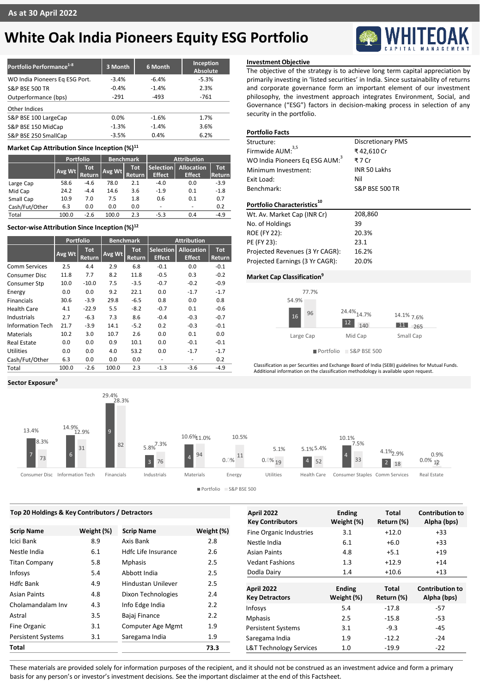# **White Oak India Pioneers Equity ESG Portfolio**

| Portfolio Performance <sup>1-8</sup> | 3 Month | 6 Month | Inception<br>Absolute |
|--------------------------------------|---------|---------|-----------------------|
| WO India Pioneers Eq ESG Port.       | $-3.4%$ | $-6.4%$ | $-5.3%$               |
| <b>S&amp;P BSE 500 TR</b>            | $-0.4%$ | $-1.4%$ | 2.3%                  |
| Outperformance (bps)                 | $-291$  | $-493$  | $-761$                |
| Other Indices                        |         |         |                       |
| S&P BSE 100 LargeCap                 | 0.0%    | $-1.6%$ | 1.7%                  |
| S&P BSE 150 MidCap                   | $-1.3%$ | $-1.4%$ | 3.6%                  |
| S&P BSE 250 SmallCap                 | $-3.5%$ | 0.4%    | 6.2%                  |

### **Market Cap Attribution Since Inception (%)<sup>11</sup>**

|                | Portfolio |                       | <b>Benchmark</b> |                | <b>Attribution</b>                |                                    |                      |
|----------------|-----------|-----------------------|------------------|----------------|-----------------------------------|------------------------------------|----------------------|
|                | Avg Wt    | Tot.<br><b>Return</b> | Avg Wt           | Tot<br>Return. | <b>Selection</b><br><b>Effect</b> | <b>Allocation</b><br><b>Effect</b> | <b>Tot</b><br>Return |
| Large Cap      | 58.6      | $-4.6$                | 78.0             | 2.1            | $-4.0$                            | 0.0                                | $-3.9$               |
| Mid Cap        | 24.2      | $-4.4$                | 14.6             | 3.6            | $-1.9$                            | 0.1                                | $-1.8$               |
| Small Cap      | 10.9      | 7.0                   | 7.5              | 1.8            | 0.6                               | 0.1                                | 0.7                  |
| Cash/Fut/Other | 6.3       | 0.0                   | 0.0              | 0.0            | $\overline{\phantom{a}}$          | $\overline{\phantom{0}}$           | 0.2                  |
| Total          | 100.0     | $-2.6$                | 100.0            | 2.3            | $-5.3$                            | 0.4                                | $-4.9$               |

# **Sector-wise Attribution Since Inception (%)<sup>12</sup>**

|                         | <b>Portfolio</b> |                      |        | <b>Benchmark</b>     | <b>Attribution</b>                |                                    |                      |
|-------------------------|------------------|----------------------|--------|----------------------|-----------------------------------|------------------------------------|----------------------|
|                         | Avg Wt           | <b>Tot</b><br>Return | Avg Wt | <b>Tot</b><br>Return | <b>Selection</b><br><b>Effect</b> | <b>Allocation</b><br><b>Effect</b> | <b>Tot</b><br>Return |
| <b>Comm Services</b>    | 2.5              | 4.4                  | 2.9    | 6.8                  | $-0.1$                            | 0.0                                | $-0.1$               |
| <b>Consumer Disc</b>    | 11.8             | 7.7                  | 8.2    | 11.8                 | $-0.5$                            | 0.3                                | $-0.2$               |
| Consumer Stp            | 10.0             | $-10.0$              | 7.5    | $-3.5$               | $-0.7$                            | $-0.2$                             | $-0.9$               |
| Energy                  | 0.0              | 0.0                  | 9.2    | 22.1                 | 0.0                               | $-1.7$                             | $-1.7$               |
| <b>Financials</b>       | 30.6             | $-3.9$               | 29.8   | $-6.5$               | 0.8                               | 0.0                                | 0.8                  |
| Health Care             | 4.1              | $-22.9$              | 5.5    | $-8.2$               | $-0.7$                            | 0.1                                | $-0.6$               |
| Industrials             | 2.7              | $-6.3$               | 7.3    | 8.6                  | $-0.4$                            | $-0.3$                             | $-0.7$               |
| <b>Information Tech</b> | 21.7             | $-3.9$               | 14.1   | $-5.2$               | 0.2                               | $-0.3$                             | $-0.1$               |
| Materials               | 10.2             | 3.0                  | 10.7   | 2.6                  | 0.0                               | 0.1                                | 0.0                  |
| <b>Real Estate</b>      | 0.0              | 0.0                  | 0.9    | 10.1                 | 0.0                               | $-0.1$                             | $-0.1$               |
| Utilities               | 0.0              | 0.0                  | 4.0    | 53.2                 | 0.0                               | $-1.7$                             | $-1.7$               |
| Cash/Fut/Other          | 6.3              | 0.0                  | 0.0    | 0.0                  | ٠                                 | ٠                                  | 0.2                  |
| Total                   | 100.0            | $-2.6$               | 100.0  | 2.3                  | $-1.3$                            | $-3.6$                             | $-4.9$               |

**Sector Exposure<sup>9</sup>**

# **Investment Objective**

The objective of the strategy is to achieve long term capital appreciation by primarily investing in 'listed securities' in India. Since sustainability of returns and corporate governance form an important element of our investment philosophy, the investment approach integrates Environment, Social, and Governance ("ESG") factors in decision-making process in selection of any security in the portfolio.

# **Portfolio Facts**

| Structure:                                 | <b>Discretionary PMS</b>  |
|--------------------------------------------|---------------------------|
| Firmwide AUM: <sup>3,5</sup>               | ₹42,610 Cr                |
| WO India Pioneers Eq ESG AUM: <sup>3</sup> | ₹7 Cr                     |
| Minimum Investment:                        | <b>INR 50 Lakhs</b>       |
| Exit Load:                                 | Nil                       |
| Benchmark:                                 | <b>S&amp;P BSE 500 TR</b> |
| Portfolio Characteristics                  |                           |
| Wt. Av. Market Cap (INR Cr)                | 208,860                   |
| No. of Holdings                            | 39                        |
| <b>ROE (FY 22):</b>                        | 20.3%                     |
|                                            |                           |
| PE (FY 23):                                | 23.1                      |
| Projected Revenues (3 Yr CAGR):            | 16.2%                     |

## **Market Cap Classification<sup>9</sup>**



Portfolio S&P BSE 500

Classification as per Securities and Exchange Board of India (SEBI) guidelines for Mutual Funds. Additional information on the classification methodology is available upon request.



Portfolio S&P BSE 500

| <b>Contribution to</b>                |
|---------------------------------------|
| Alpha (bps)<br>$+33$                  |
| $+33$                                 |
| $+19$                                 |
| $+14$                                 |
| $+13$                                 |
|                                       |
| <b>Contribution to</b><br>Alpha (bps) |
| $-57$                                 |
| $-53$                                 |
| $-45$                                 |
| $-24$                                 |
| $-22$                                 |
|                                       |

These materials are provided solely for information purposes of the recipient, and it should not be construed as an investment advice and form a primary basis for any person's or investor's investment decisions. See the important disclaimer at the end of this Factsheet.